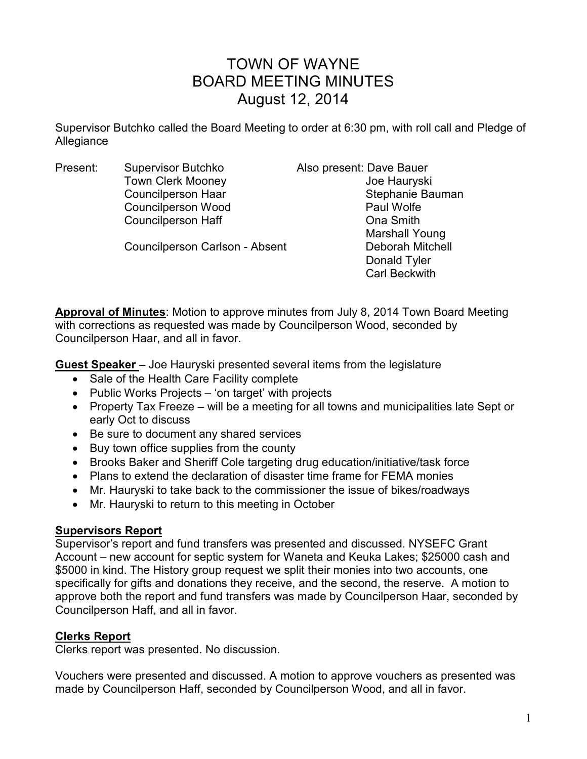# TOWN OF WAYNE BOARD MEETING MINUTES August 12, 2014

Supervisor Butchko called the Board Meeting to order at 6:30 pm, with roll call and Pledge of Allegiance

Present: Supervisor Butchko Also present: Dave Bauer Town Clerk Mooney **Contains the Clerk Mooney** Joe Hauryski Councilperson Wood **Paul Wolfe** Councilperson Haff Council Council Base Council Density Council Density Council Density Council Density Council

Councilperson Carlson - Absent Deborah Mitchell

Councilperson Haar Stephanie Bauman Marshall Young Donald Tyler Carl Beckwith

**Approval of Minutes**: Motion to approve minutes from July 8, 2014 Town Board Meeting with corrections as requested was made by Councilperson Wood, seconded by Councilperson Haar, and all in favor.

**Guest Speaker** – Joe Hauryski presented several items from the legislature

- Sale of the Health Care Facility complete
- Public Works Projects 'on target' with projects
- Property Tax Freeze will be a meeting for all towns and municipalities late Sept or early Oct to discuss
- Be sure to document any shared services
- Buy town office supplies from the county
- Brooks Baker and Sheriff Cole targeting drug education/initiative/task force
- Plans to extend the declaration of disaster time frame for FEMA monies
- Mr. Hauryski to take back to the commissioner the issue of bikes/roadways
- Mr. Hauryski to return to this meeting in October

## **Supervisors Report**

Supervisor's report and fund transfers was presented and discussed. NYSEFC Grant Account – new account for septic system for Waneta and Keuka Lakes; \$25000 cash and \$5000 in kind. The History group request we split their monies into two accounts, one specifically for gifts and donations they receive, and the second, the reserve. A motion to approve both the report and fund transfers was made by Councilperson Haar, seconded by Councilperson Haff, and all in favor.

# **Clerks Report**

Clerks report was presented. No discussion.

Vouchers were presented and discussed. A motion to approve vouchers as presented was made by Councilperson Haff, seconded by Councilperson Wood, and all in favor.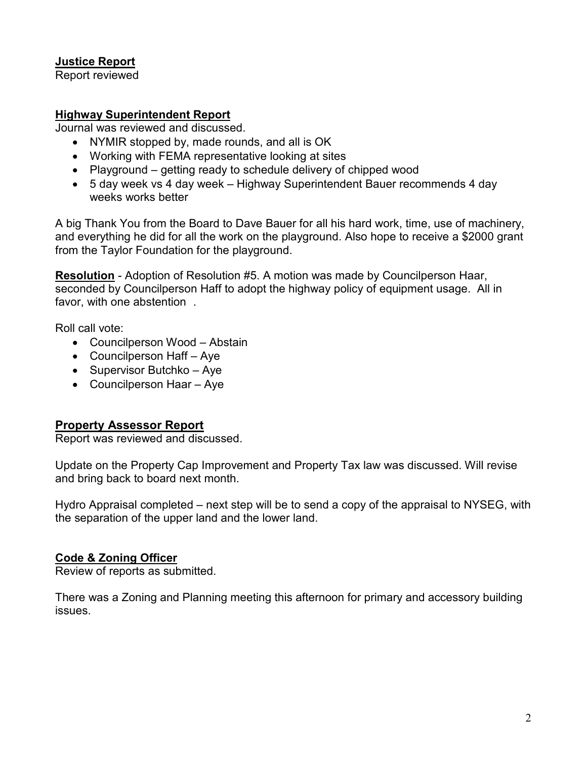# **Justice Report**

Report reviewed

## **Highway Superintendent Report**

Journal was reviewed and discussed.

- NYMIR stopped by, made rounds, and all is OK
- Working with FEMA representative looking at sites
- Playground getting ready to schedule delivery of chipped wood
- 5 day week vs 4 day week Highway Superintendent Bauer recommends 4 day weeks works better

A big Thank You from the Board to Dave Bauer for all his hard work, time, use of machinery, and everything he did for all the work on the playground. Also hope to receive a \$2000 grant from the Taylor Foundation for the playground.

**Resolution** - Adoption of Resolution #5. A motion was made by Councilperson Haar, seconded by Councilperson Haff to adopt the highway policy of equipment usage. All in favor, with one abstention .

Roll call vote:

- Councilperson Wood Abstain
- Councilperson Haff Aye
- Supervisor Butchko Aye
- Councilperson Haar Aye

# **Property Assessor Report**

Report was reviewed and discussed.

Update on the Property Cap Improvement and Property Tax law was discussed. Will revise and bring back to board next month.

Hydro Appraisal completed – next step will be to send a copy of the appraisal to NYSEG, with the separation of the upper land and the lower land.

## **Code & Zoning Officer**

Review of reports as submitted.

There was a Zoning and Planning meeting this afternoon for primary and accessory building issues.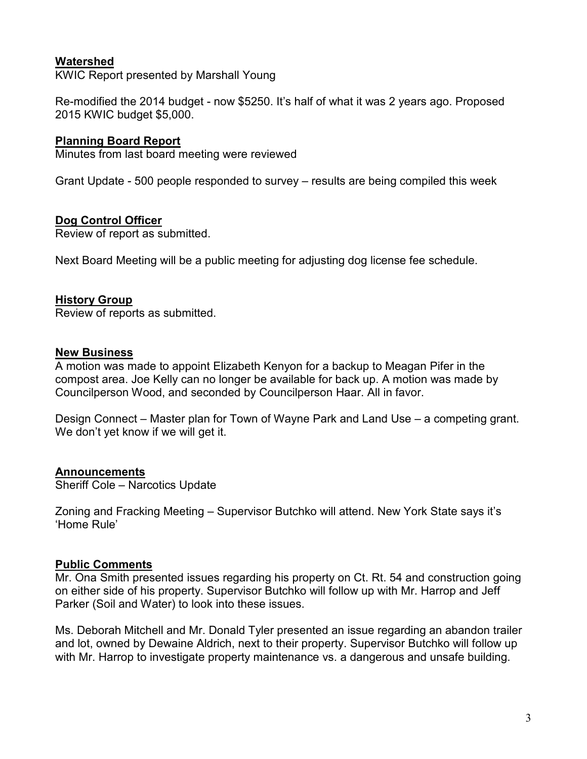## **Watershed**

KWIC Report presented by Marshall Young

Re-modified the 2014 budget - now \$5250. It's half of what it was 2 years ago. Proposed 2015 KWIC budget \$5,000.

## **Planning Board Report**

Minutes from last board meeting were reviewed

Grant Update - 500 people responded to survey – results are being compiled this week

## **Dog Control Officer**

Review of report as submitted.

Next Board Meeting will be a public meeting for adjusting dog license fee schedule.

## **History Group**

Review of reports as submitted.

#### **New Business**

A motion was made to appoint Elizabeth Kenyon for a backup to Meagan Pifer in the compost area. Joe Kelly can no longer be available for back up. A motion was made by Councilperson Wood, and seconded by Councilperson Haar. All in favor.

Design Connect – Master plan for Town of Wayne Park and Land Use – a competing grant. We don't yet know if we will get it.

## **Announcements**

Sheriff Cole – Narcotics Update

Zoning and Fracking Meeting – Supervisor Butchko will attend. New York State says it's 'Home Rule'

## **Public Comments**

Mr. Ona Smith presented issues regarding his property on Ct. Rt. 54 and construction going on either side of his property. Supervisor Butchko will follow up with Mr. Harrop and Jeff Parker (Soil and Water) to look into these issues.

Ms. Deborah Mitchell and Mr. Donald Tyler presented an issue regarding an abandon trailer and lot, owned by Dewaine Aldrich, next to their property. Supervisor Butchko will follow up with Mr. Harrop to investigate property maintenance vs. a dangerous and unsafe building.